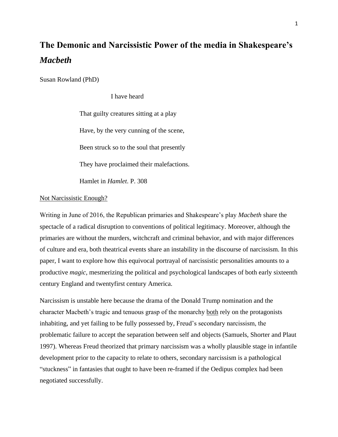# **The Demonic and Narcissistic Power of the media in Shakespeare's**  *Macbeth*

Susan Rowland (PhD)

I have heard

That guilty creatures sitting at a play Have, by the very cunning of the scene, Been struck so to the soul that presently They have proclaimed their malefactions. Hamlet in *Hamlet*. P. 308

# Not Narcissistic Enough?

Writing in June of 2016, the Republican primaries and Shakespeare's play *Macbeth* share the spectacle of a radical disruption to conventions of political legitimacy. Moreover, although the primaries are without the murders, witchcraft and criminal behavior, and with major differences of culture and era, both theatrical events share an instability in the discourse of narcissism. In this paper, I want to explore how this equivocal portrayal of narcissistic personalities amounts to a productive *magic*, mesmerizing the political and psychological landscapes of both early sixteenth century England and twentyfirst century America.

Narcissism is unstable here because the drama of the Donald Trump nomination and the character Macbeth's tragic and tenuous grasp of the monarchy both rely on the protagonists inhabiting, and yet failing to be fully possessed by, Freud's secondary narcissism, the problematic failure to accept the separation between self and objects (Samuels, Shorter and Plaut 1997). Whereas Freud theorized that primary narcissism was a wholly plausible stage in infantile development prior to the capacity to relate to others, secondary narcissism is a pathological "stuckness" in fantasies that ought to have been re-framed if the Oedipus complex had been negotiated successfully.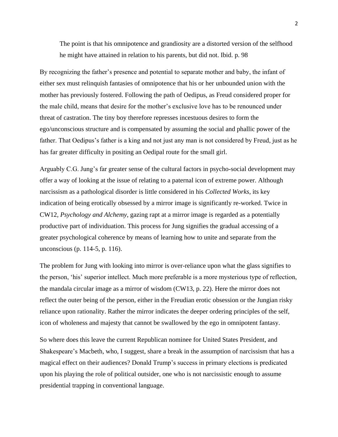The point is that his omnipotence and grandiosity are a distorted version of the selfhood he might have attained in relation to his parents, but did not. Ibid. p. 98

By recognizing the father's presence and potential to separate mother and baby, the infant of either sex must relinquish fantasies of omnipotence that his or her unbounded union with the mother has previously fostered. Following the path of Oedipus, as Freud considered proper for the male child, means that desire for the mother's exclusive love has to be renounced under threat of castration. The tiny boy therefore represses incestuous desires to form the ego/unconscious structure and is compensated by assuming the social and phallic power of the father. That Oedipus's father is a king and not just any man is not considered by Freud, just as he has far greater difficulty in positing an Oedipal route for the small girl.

Arguably C.G. Jung's far greater sense of the cultural factors in psycho-social development may offer a way of looking at the issue of relating to a paternal icon of extreme power. Although narcissism as a pathological disorder is little considered in his *Collected Works*, its key indication of being erotically obsessed by a mirror image is significantly re-worked. Twice in CW12, *Psychology and Alchemy*, gazing rapt at a mirror image is regarded as a potentially productive part of individuation. This process for Jung signifies the gradual accessing of a greater psychological coherence by means of learning how to unite and separate from the unconscious (p. 114-5, p. 116).

The problem for Jung with looking into mirror is over-reliance upon what the glass signifies to the person, 'his' superior intellect. Much more preferable is a more mysterious type of reflection, the mandala circular image as a mirror of wisdom (CW13, p. 22). Here the mirror does not reflect the outer being of the person, either in the Freudian erotic obsession or the Jungian risky reliance upon rationality. Rather the mirror indicates the deeper ordering principles of the self, icon of wholeness and majesty that cannot be swallowed by the ego in omnipotent fantasy.

So where does this leave the current Republican nominee for United States President, and Shakespeare's Macbeth, who, I suggest, share a break in the assumption of narcissism that has a magical effect on their audiences? Donald Trump's success in primary elections is predicated upon his playing the role of political outsider, one who is not narcissistic enough to assume presidential trapping in conventional language.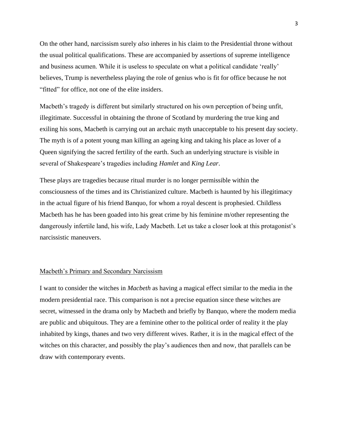On the other hand, narcissism surely *also* inheres in his claim to the Presidential throne without the usual political qualifications. These are accompanied by assertions of supreme intelligence and business acumen. While it is useless to speculate on what a political candidate 'really' believes, Trump is nevertheless playing the role of genius who is fit for office because he not "fitted" for office, not one of the elite insiders.

Macbeth's tragedy is different but similarly structured on his own perception of being unfit, illegitimate. Successful in obtaining the throne of Scotland by murdering the true king and exiling his sons, Macbeth is carrying out an archaic myth unacceptable to his present day society. The myth is of a potent young man killing an ageing king and taking his place as lover of a Queen signifying the sacred fertility of the earth. Such an underlying structure is visible in several of Shakespeare's tragedies including *Hamlet* and *King Lear*.

These plays are tragedies because ritual murder is no longer permissible within the consciousness of the times and its Christianized culture. Macbeth is haunted by his illegitimacy in the actual figure of his friend Banquo, for whom a royal descent is prophesied. Childless Macbeth has he has been goaded into his great crime by his feminine m/other representing the dangerously infertile land, his wife, Lady Macbeth. Let us take a closer look at this protagonist's narcissistic maneuvers.

#### Macbeth's Primary and Secondary Narcissism

I want to consider the witches in *Macbeth* as having a magical effect similar to the media in the modern presidential race. This comparison is not a precise equation since these witches are secret, witnessed in the drama only by Macbeth and briefly by Banquo, where the modern media are public and ubiquitous. They are a feminine other to the political order of reality it the play inhabited by kings, thanes and two very different wives. Rather, it is in the magical effect of the witches on this character, and possibly the play's audiences then and now, that parallels can be draw with contemporary events.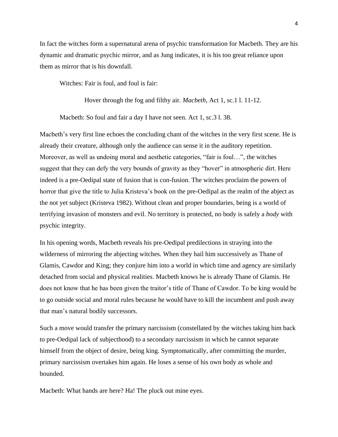In fact the witches form a supernatural arena of psychic transformation for Macbeth. They are his dynamic and dramatic psychic mirror, and as Jung indicates, it is his too great reliance upon them as mirror that is his downfall.

Witches: Fair is foul, and foul is fair:

Hover through the fog and filthy air. *Macbeth*, Act 1, sc.1 l. 11-12.

Macbeth: So foul and fair a day I have not seen. Act 1, sc.3 l. 38.

Macbeth's very first line echoes the concluding chant of the witches in the very first scene. He is already their creature, although only the audience can sense it in the auditory repetition. Moreover, as well as undoing moral and aesthetic categories, "fair is foul…", the witches suggest that they can defy the very bounds of gravity as they "hover" in atmospheric dirt. Here indeed is a pre-Oedipal state of fusion that is con-fusion. The witches proclaim the powers of horror that give the title to Julia Kristeva's book on the pre-Oedipal as the realm of the abject as the not yet subject (Kristeva 1982). Without clean and proper boundaries, being is a world of terrifying invasion of monsters and evil. No territory is protected, no body is safely a *body* with psychic integrity.

In his opening words, Macbeth reveals his pre-Oedipal predilections in straying into the wilderness of mirroring the abjecting witches. When they hail him successively as Thane of Glamis, Cawdor and King; they conjure him into a world in which time and agency are similarly detached from social and physical realities. Macbeth knows he is already Thane of Glamis. He does not know that he has been given the traitor's title of Thane of Cawdor. To be king would be to go outside social and moral rules because he would have to kill the incumbent and push away that man's natural bodily successors.

Such a move would transfer the primary narcissism (constellated by the witches taking him back to pre-Oedipal lack of subjecthood) to a secondary narcissism in which he cannot separate himself from the object of desire, being king. Symptomatically, after committing the murder, primary narcissism overtakes him again. He loses a sense of his own body as whole and bounded.

Macbeth: What hands are here? Ha! The pluck out mine eyes.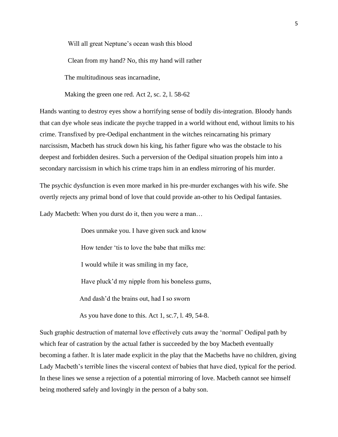Will all great Neptune's ocean wash this blood

Clean from my hand? No, this my hand will rather

The multitudinous seas incarnadine,

Making the green one red. Act 2, sc. 2, l. 58-62

Hands wanting to destroy eyes show a horrifying sense of bodily dis-integration. Bloody hands that can dye whole seas indicate the psyche trapped in a world without end, without limits to his crime. Transfixed by pre-Oedipal enchantment in the witches reincarnating his primary narcissism, Macbeth has struck down his king, his father figure who was the obstacle to his deepest and forbidden desires. Such a perversion of the Oedipal situation propels him into a secondary narcissism in which his crime traps him in an endless mirroring of his murder.

The psychic dysfunction is even more marked in his pre-murder exchanges with his wife. She overtly rejects any primal bond of love that could provide an-other to his Oedipal fantasies.

Lady Macbeth: When you durst do it, then you were a man…

 Does unmake you. I have given suck and know How tender 'tis to love the babe that milks me: I would while it was smiling in my face, Have pluck'd my nipple from his boneless gums, And dash'd the brains out, had I so sworn

As you have done to this. Act 1, sc.7, l. 49, 54-8.

Such graphic destruction of maternal love effectively cuts away the 'normal' Oedipal path by which fear of castration by the actual father is succeeded by the boy Macbeth eventually becoming a father. It is later made explicit in the play that the Macbeths have no children, giving Lady Macbeth's terrible lines the visceral context of babies that have died, typical for the period. In these lines we sense a rejection of a potential mirroring of love. Macbeth cannot see himself being mothered safely and lovingly in the person of a baby son.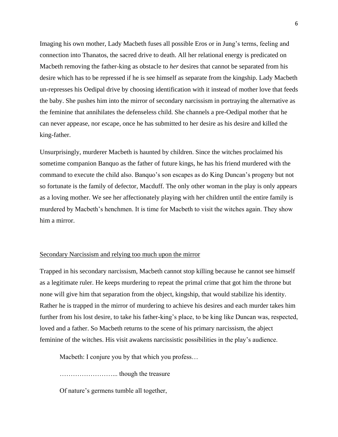Imaging his own mother, Lady Macbeth fuses all possible Eros or in Jung's terms, feeling and connection into Thanatos, the sacred drive to death. All her relational energy is predicated on Macbeth removing the father-king as obstacle to *her* desires that cannot be separated from his desire which has to be repressed if he is see himself as separate from the kingship. Lady Macbeth un-represses his Oedipal drive by choosing identification with it instead of mother love that feeds the baby. She pushes him into the mirror of secondary narcissism in portraying the alternative as the feminine that annihilates the defenseless child. She channels a pre-Oedipal mother that he can never appease, nor escape, once he has submitted to her desire as his desire and killed the king-father.

Unsurprisingly, murderer Macbeth is haunted by children. Since the witches proclaimed his sometime companion Banquo as the father of future kings, he has his friend murdered with the command to execute the child also. Banquo's son escapes as do King Duncan's progeny but not so fortunate is the family of defector, Macduff. The only other woman in the play is only appears as a loving mother. We see her affectionately playing with her children until the entire family is murdered by Macbeth's henchmen. It is time for Macbeth to visit the witches again. They show him a mirror.

# Secondary Narcissism and relying too much upon the mirror

Trapped in his secondary narcissism, Macbeth cannot stop killing because he cannot see himself as a legitimate ruler. He keeps murdering to repeat the primal crime that got him the throne but none will give him that separation from the object, kingship, that would stabilize his identity. Rather he is trapped in the mirror of murdering to achieve his desires and each murder takes him further from his lost desire, to take his father-king's place, to be king like Duncan was, respected, loved and a father. So Macbeth returns to the scene of his primary narcissism, the abject feminine of the witches. His visit awakens narcissistic possibilities in the play's audience.

Macbeth: I conjure you by that which you profess...

……………………... though the treasure

Of nature's germens tumble all together,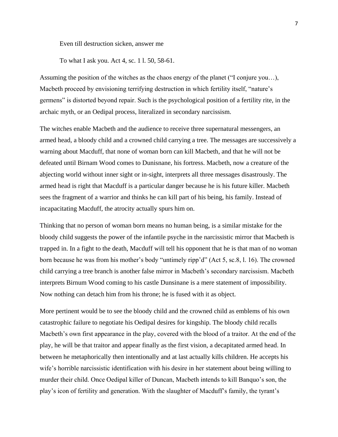Even till destruction sicken, answer me

To what I ask you. Act 4, sc. 1 l. 50, 58-61.

Assuming the position of the witches as the chaos energy of the planet ("I conjure you…), Macbeth proceed by envisioning terrifying destruction in which fertility itself, "nature's germens" is distorted beyond repair. Such is the psychological position of a fertility rite, in the archaic myth, or an Oedipal process, literalized in secondary narcissism.

The witches enable Macbeth and the audience to receive three supernatural messengers, an armed head, a bloody child and a crowned child carrying a tree. The messages are successively a warning about Macduff, that none of woman born can kill Macbeth, and that he will not be defeated until Birnam Wood comes to Dunisnane, his fortress. Macbeth, now a creature of the abjecting world without inner sight or in-sight, interprets all three messages disastrously. The armed head is right that Macduff is a particular danger because he is his future killer. Macbeth sees the fragment of a warrior and thinks he can kill part of his being, his family. Instead of incapacitating Macduff, the atrocity actually spurs him on.

Thinking that no person of woman born means no human being, is a similar mistake for the bloody child suggests the power of the infantile psyche in the narcissistic mirror that Macbeth is trapped in. In a fight to the death, Macduff will tell his opponent that he is that man of no woman born because he was from his mother's body "untimely ripp'd" (Act 5, sc.8, l. 16). The crowned child carrying a tree branch is another false mirror in Macbeth's secondary narcissism. Macbeth interprets Birnum Wood coming to his castle Dunsinane is a mere statement of impossibility. Now nothing can detach him from his throne; he is fused with it as object.

More pertinent would be to see the bloody child and the crowned child as emblems of his own catastrophic failure to negotiate his Oedipal desires for kingship. The bloody child recalls Macbeth's own first appearance in the play, covered with the blood of a traitor. At the end of the play, he will be that traitor and appear finally as the first vision, a decapitated armed head. In between he metaphorically then intentionally and at last actually kills children. He accepts his wife's horrible narcissistic identification with his desire in her statement about being willing to murder their child. Once Oedipal killer of Duncan, Macbeth intends to kill Banquo's son, the play's icon of fertility and generation. With the slaughter of Macduff's family, the tyrant's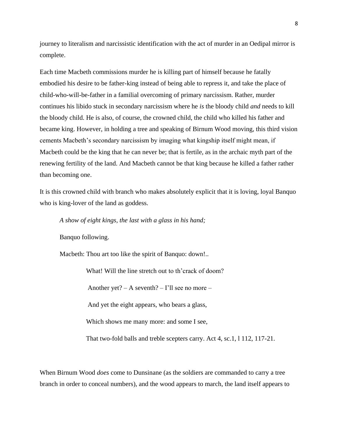journey to literalism and narcissistic identification with the act of murder in an Oedipal mirror is complete.

Each time Macbeth commissions murder he is killing part of himself because he fatally embodied his desire to be father-king instead of being able to repress it, and take the place of child-who-will-be-father in a familial overcoming of primary narcissism. Rather, murder continues his libido stuck in secondary narcissism where he *is* the bloody child *and* needs to kill the bloody child. He is also, of course, the crowned child, the child who killed his father and became king. However, in holding a tree and speaking of Birnum Wood moving, this third vision cements Macbeth's secondary narcissism by imaging what kingship itself might mean, if Macbeth could be the king that he can never be; that is fertile, as in the archaic myth part of the renewing fertility of the land. And Macbeth cannot be that king because he killed a father rather than becoming one.

It is this crowned child with branch who makes absolutely explicit that it is loving, loyal Banquo who is king-lover of the land as goddess.

*A show of eight kings, the last with a glass in his hand;*

Banquo following.

Macbeth: Thou art too like the spirit of Banquo: down!..

What! Will the line stretch out to th'crack of doom?

Another yet? – A seventh? – I'll see no more –

And yet the eight appears, who bears a glass,

Which shows me many more: and some I see,

That two-fold balls and treble scepters carry. Act 4, sc.1, l 112, 117-21.

When Birnum Wood *does* come to Dunsinane (as the soldiers are commanded to carry a tree branch in order to conceal numbers), and the wood appears to march, the land itself appears to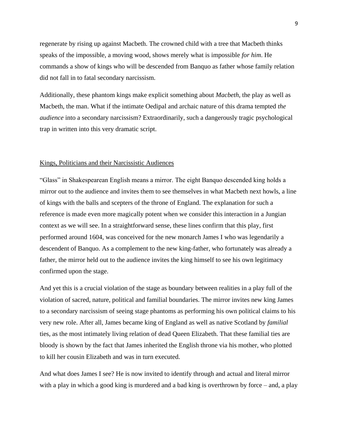regenerate by rising up against Macbeth. The crowned child with a tree that Macbeth thinks speaks of the impossible, a moving wood, shows merely what is impossible *for him*. He commands a show of kings who will be descended from Banquo as father whose family relation did not fall in to fatal secondary narcissism.

Additionally, these phantom kings make explicit something about *Macbeth*, the play as well as Macbeth, the man. What if the intimate Oedipal and archaic nature of this drama tempted *the audience* into a secondary narcissism? Extraordinarily, such a dangerously tragic psychological trap in written into this very dramatic script.

#### Kings, Politicians and their Narcissistic Audiences

"Glass" in Shakespearean English means a mirror. The eight Banquo descended king holds a mirror out to the audience and invites them to see themselves in what Macbeth next howls, a line of kings with the balls and scepters of the throne of England. The explanation for such a reference is made even more magically potent when we consider this interaction in a Jungian context as we will see. In a straightforward sense, these lines confirm that this play, first performed around 1604, was conceived for the new monarch James I who was legendarily a descendent of Banquo. As a complement to the new king-father, who fortunately was already a father, the mirror held out to the audience invites the king himself to see his own legitimacy confirmed upon the stage.

And yet this is a crucial violation of the stage as boundary between realities in a play full of the violation of sacred, nature, political and familial boundaries. The mirror invites new king James to a secondary narcissism of seeing stage phantoms as performing his own political claims to his very new role. After all, James became king of England as well as native Scotland by *familial*  ties, as the most intimately living relation of dead Queen Elizabeth. That these familial ties are bloody is shown by the fact that James inherited the English throne via his mother, who plotted to kill her cousin Elizabeth and was in turn executed.

And what does James I see? He is now invited to identify through and actual and literal mirror with a play in which a good king is murdered and a bad king is overthrown by force – and, a play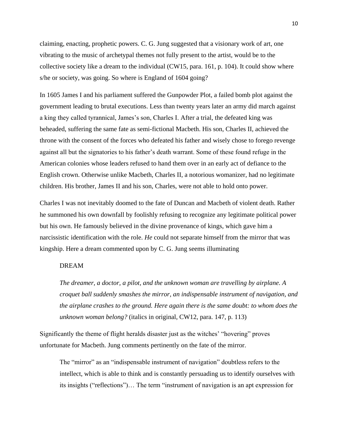claiming, enacting, prophetic powers. C. G. Jung suggested that a visionary work of art, one vibrating to the music of archetypal themes not fully present to the artist, would be to the collective society like a dream to the individual (CW15, para. 161, p. 104). It could show where s/he or society, was going. So where is England of 1604 going?

In 1605 James I and his parliament suffered the Gunpowder Plot, a failed bomb plot against the government leading to brutal executions. Less than twenty years later an army did march against a king they called tyrannical, James's son, Charles I. After a trial, the defeated king was beheaded, suffering the same fate as semi-fictional Macbeth. His son, Charles II, achieved the throne with the consent of the forces who defeated his father and wisely chose to forego revenge against all but the signatories to his father's death warrant. Some of these found refuge in the American colonies whose leaders refused to hand them over in an early act of defiance to the English crown. Otherwise unlike Macbeth, Charles II, a notorious womanizer, had no legitimate children. His brother, James II and his son, Charles, were not able to hold onto power.

Charles I was not inevitably doomed to the fate of Duncan and Macbeth of violent death. Rather he summoned his own downfall by foolishly refusing to recognize any legitimate political power but his own. He famously believed in the divine provenance of kings, which gave him a narcissistic identification with the role. *He* could not separate himself from the mirror that was kingship. Here a dream commented upon by C. G. Jung seems illuminating

### DREAM

*The dreamer, a doctor, a pilot, and the unknown woman are travelling by airplane. A croquet ball suddenly smashes the mirror, an indispensable instrument of navigation, and the airplane crashes to the ground. Here again there is the same doubt: to whom does the unknown woman belong?* (italics in original, CW12, para. 147, p. 113)

Significantly the theme of flight heralds disaster just as the witches' "hovering" proves unfortunate for Macbeth. Jung comments pertinently on the fate of the mirror.

The "mirror" as an "indispensable instrument of navigation" doubtless refers to the intellect, which is able to think and is constantly persuading us to identify ourselves with its insights ("reflections")… The term "instrument of navigation is an apt expression for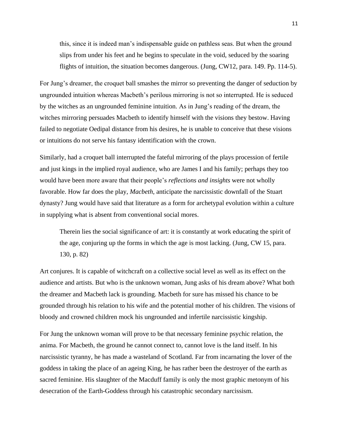this, since it is indeed man's indispensable guide on pathless seas. But when the ground slips from under his feet and he begins to speculate in the void, seduced by the soaring flights of intuition, the situation becomes dangerous. (Jung, CW12, para. 149. Pp. 114-5).

For Jung's dreamer, the croquet ball smashes the mirror so preventing the danger of seduction by ungrounded intuition whereas Macbeth's perilous mirroring is not so interrupted. He is seduced by the witches as an ungrounded feminine intuition. As in Jung's reading of the dream, the witches mirroring persuades Macbeth to identify himself with the visions they bestow. Having failed to negotiate Oedipal distance from his desires, he is unable to conceive that these visions or intuitions do not serve his fantasy identification with the crown.

Similarly, had a croquet ball interrupted the fateful mirroring of the plays procession of fertile and just kings in the implied royal audience, who are James I and his family; perhaps they too would have been more aware that their people's *reflections and insights* were not wholly favorable. How far does the play, *Macbeth*, anticipate the narcissistic downfall of the Stuart dynasty? Jung would have said that literature as a form for archetypal evolution within a culture in supplying what is absent from conventional social mores.

Therein lies the social significance of art: it is constantly at work educating the spirit of the age, conjuring up the forms in which the age is most lacking. (Jung, CW 15, para. 130, p. 82)

Art conjures. It is capable of witchcraft on a collective social level as well as its effect on the audience and artists. But who is the unknown woman, Jung asks of his dream above? What both the dreamer and Macbeth lack is grounding. Macbeth for sure has missed his chance to be grounded through his relation to his wife and the potential mother of his children. The visions of bloody and crowned children mock his ungrounded and infertile narcissistic kingship.

For Jung the unknown woman will prove to be that necessary feminine psychic relation, the anima. For Macbeth, the ground he cannot connect to, cannot love is the land itself. In his narcissistic tyranny, he has made a wasteland of Scotland. Far from incarnating the lover of the goddess in taking the place of an ageing King, he has rather been the destroyer of the earth as sacred feminine. His slaughter of the Macduff family is only the most graphic metonym of his desecration of the Earth-Goddess through his catastrophic secondary narcissism.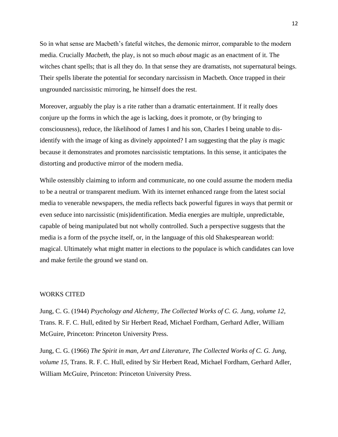So in what sense are Macbeth's fateful witches, the demonic mirror, comparable to the modern media. Crucially *Macbeth*, the play, is not so much *about* magic as an enactment of it. The witches chant spells; that is all they do. In that sense they are dramatists, not supernatural beings. Their spells liberate the potential for secondary narcissism in Macbeth. Once trapped in their ungrounded narcissistic mirroring, he himself does the rest.

Moreover, arguably the play is a rite rather than a dramatic entertainment. If it really does conjure up the forms in which the age is lacking, does it promote, or (by bringing to consciousness), reduce, the likelihood of James I and his son, Charles I being unable to disidentify with the image of king as divinely appointed? I am suggesting that the play *is* magic because it demonstrates and promotes narcissistic temptations. In this sense, it anticipates the distorting and productive mirror of the modern media.

While ostensibly claiming to inform and communicate, no one could assume the modern media to be a neutral or transparent medium. With its internet enhanced range from the latest social media to venerable newspapers, the media reflects back powerful figures in ways that permit or even seduce into narcissistic (mis)identification. Media energies are multiple, unpredictable, capable of being manipulated but not wholly controlled. Such a perspective suggests that the media is a form of the psyche itself, or, in the language of this old Shakespearean world: magical. Ultimately what might matter in elections to the populace is which candidates can love and make fertile the ground we stand on.

## WORKS CITED

Jung, C. G. (1944) *Psychology and Alchemy, The Collected Works of C. G. Jung, volume 12,*  Trans. R. F. C. Hull, edited by Sir Herbert Read, Michael Fordham, Gerhard Adler, William McGuire, Princeton: Princeton University Press.

Jung, C. G. (1966) *The Spirit in man, Art and Literature, The Collected Works of C. G. Jung, volume 15,* Trans. R. F. C. Hull, edited by Sir Herbert Read, Michael Fordham, Gerhard Adler, William McGuire, Princeton: Princeton University Press.